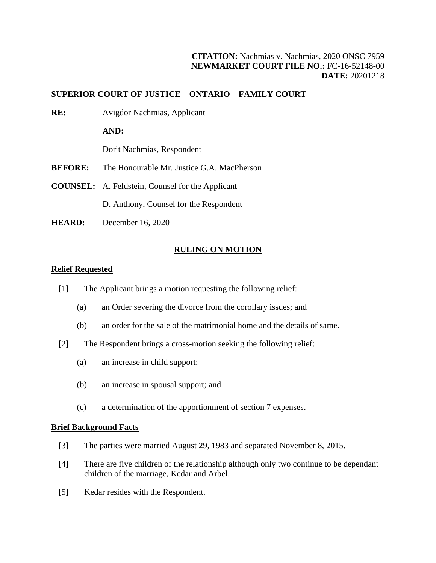# **CITATION:** Nachmias v. Nachmias, 2020 ONSC 7959 **NEWMARKET COURT FILE NO.:** FC-16-52148-00 **DATE:** 20201218

# **SUPERIOR COURT OF JUSTICE – ONTARIO – FAMILY COURT**

**RE:** Avigdor Nachmias, Applicant

**AND:**

Dorit Nachmias, Respondent

- **BEFORE:** The Honourable Mr. Justice G.A. MacPherson
- **COUNSEL:** A. Feldstein, Counsel for the Applicant

D. Anthony, Counsel for the Respondent

**HEARD:** December 16, 2020

#### **RULING ON MOTION**

## **Relief Requested**

- [1] The Applicant brings a motion requesting the following relief:
	- (a) an Order severing the divorce from the corollary issues; and
	- (b) an order for the sale of the matrimonial home and the details of same.
- [2] The Respondent brings a cross-motion seeking the following relief:
	- (a) an increase in child support;
	- (b) an increase in spousal support; and
	- (c) a determination of the apportionment of section 7 expenses.

### **Brief Background Facts**

- [3] The parties were married August 29, 1983 and separated November 8, 2015.
- [4] There are five children of the relationship although only two continue to be dependant children of the marriage, Kedar and Arbel.
- [5] Kedar resides with the Respondent.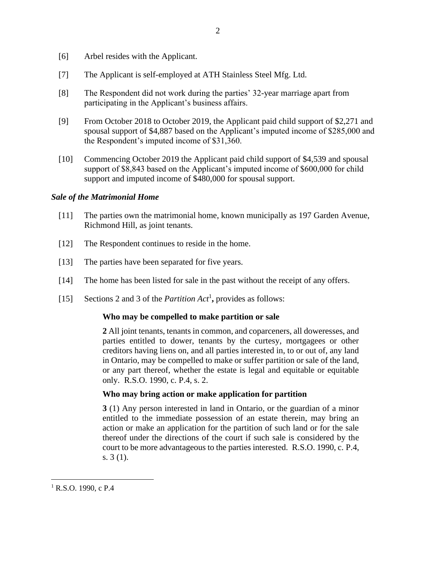- [6] Arbel resides with the Applicant.
- [7] The Applicant is self-employed at ATH Stainless Steel Mfg. Ltd.
- [8] The Respondent did not work during the parties' 32-year marriage apart from participating in the Applicant's business affairs.
- [9] From October 2018 to October 2019, the Applicant paid child support of \$2,271 and spousal support of \$4,887 based on the Applicant's imputed income of \$285,000 and the Respondent's imputed income of \$31,360.
- [10] Commencing October 2019 the Applicant paid child support of \$4,539 and spousal support of \$8,843 based on the Applicant's imputed income of \$600,000 for child support and imputed income of \$480,000 for spousal support.

# *Sale of the Matrimonial Home*

- [11] The parties own the matrimonial home, known municipally as 197 Garden Avenue, Richmond Hill, as joint tenants.
- [12] The Respondent continues to reside in the home.
- [13] The parties have been separated for five years.
- [14] The home has been listed for sale in the past without the receipt of any offers.
- [15] Sections 2 and 3 of the *Partition Act*<sup>1</sup>, provides as follows:

## **Who may be compelled to make partition or sale**

**2** All joint tenants, tenants in common, and coparceners, all doweresses, and parties entitled to dower, tenants by the curtesy, mortgagees or other creditors having liens on, and all parties interested in, to or out of, any land in Ontario, may be compelled to make or suffer partition or sale of the land, or any part thereof, whether the estate is legal and equitable or equitable only. R.S.O. 1990, c. P.4, s. 2.

## **Who may bring action or make application for partition**

**3** (1) Any person interested in land in Ontario, or the guardian of a minor entitled to the immediate possession of an estate therein, may bring an action or make an application for the partition of such land or for the sale thereof under the directions of the court if such sale is considered by the court to be more advantageous to the parties interested. R.S.O. 1990, c. P.4, s. 3 (1).

 $1$  R.S.O. 1990, c P.4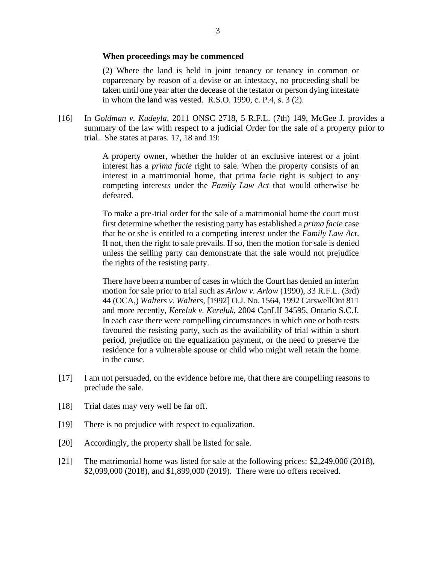#### **When proceedings may be commenced**

(2) Where the land is held in joint tenancy or tenancy in common or coparcenary by reason of a devise or an intestacy, no proceeding shall be taken until one year after the decease of the testator or person dying intestate in whom the land was vested. R.S.O. 1990, c. P.4, s. 3 (2).

[16] In *Goldman v. Kudeyla*, 2011 ONSC 2718, 5 R.F.L. (7th) 149, McGee J. provides a summary of the law with respect to a judicial Order for the sale of a property prior to trial. She states at paras. 17, 18 and 19:

> A property owner, whether the holder of an exclusive interest or a joint interest has a *prima facie* right to sale. When the property consists of an interest in a matrimonial home, that prima facie right is subject to any competing interests under the *Family Law Act* that would otherwise be defeated.

> To make a pre-trial order for the sale of a matrimonial home the court must first determine whether the resisting party has established a *prima facie* case that he or she is entitled to a competing interest under the *Family Law Act*. If not, then the right to sale prevails. If so, then the motion for sale is denied unless the selling party can demonstrate that the sale would not prejudice the rights of the resisting party.

> There have been a number of cases in which the Court has denied an interim motion for sale prior to trial such as *Arlow v. Arlow* (1990), 33 R.F.L. (3rd) 44 (OCA,) *Walters v. Walters*, [1992] O.J. No. 1564, 1992 CarswellOnt 811 and more recently, *Kereluk v. Kereluk*, 2004 CanLII 34595, Ontario S.C.J. In each case there were compelling circumstances in which one or both tests favoured the resisting party, such as the availability of trial within a short period, prejudice on the equalization payment, or the need to preserve the residence for a vulnerable spouse or child who might well retain the home in the cause.

- [17] I am not persuaded, on the evidence before me, that there are compelling reasons to preclude the sale.
- [18] Trial dates may very well be far off.
- [19] There is no prejudice with respect to equalization.
- [20] Accordingly, the property shall be listed for sale.
- [21] The matrimonial home was listed for sale at the following prices: \$2,249,000 (2018), \$2,099,000 (2018), and \$1,899,000 (2019). There were no offers received.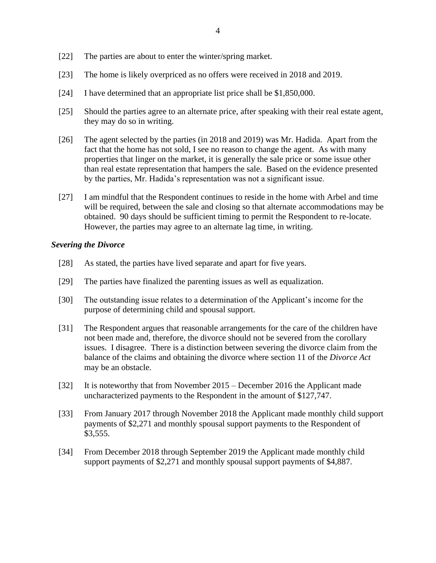- [22] The parties are about to enter the winter/spring market.
- [23] The home is likely overpriced as no offers were received in 2018 and 2019.
- [24] I have determined that an appropriate list price shall be \$1,850,000.
- [25] Should the parties agree to an alternate price, after speaking with their real estate agent, they may do so in writing.
- [26] The agent selected by the parties (in 2018 and 2019) was Mr. Hadida. Apart from the fact that the home has not sold, I see no reason to change the agent. As with many properties that linger on the market, it is generally the sale price or some issue other than real estate representation that hampers the sale. Based on the evidence presented by the parties, Mr. Hadida's representation was not a significant issue.
- [27] I am mindful that the Respondent continues to reside in the home with Arbel and time will be required, between the sale and closing so that alternate accommodations may be obtained. 90 days should be sufficient timing to permit the Respondent to re-locate. However, the parties may agree to an alternate lag time, in writing.

# *Severing the Divorce*

- [28] As stated, the parties have lived separate and apart for five years.
- [29] The parties have finalized the parenting issues as well as equalization.
- [30] The outstanding issue relates to a determination of the Applicant's income for the purpose of determining child and spousal support.
- [31] The Respondent argues that reasonable arrangements for the care of the children have not been made and, therefore, the divorce should not be severed from the corollary issues. I disagree. There is a distinction between severing the divorce claim from the balance of the claims and obtaining the divorce where section 11 of the *Divorce Act* may be an obstacle.
- [32] It is noteworthy that from November 2015 December 2016 the Applicant made uncharacterized payments to the Respondent in the amount of \$127,747.
- [33] From January 2017 through November 2018 the Applicant made monthly child support payments of \$2,271 and monthly spousal support payments to the Respondent of \$3,555.
- [34] From December 2018 through September 2019 the Applicant made monthly child support payments of \$2,271 and monthly spousal support payments of \$4,887.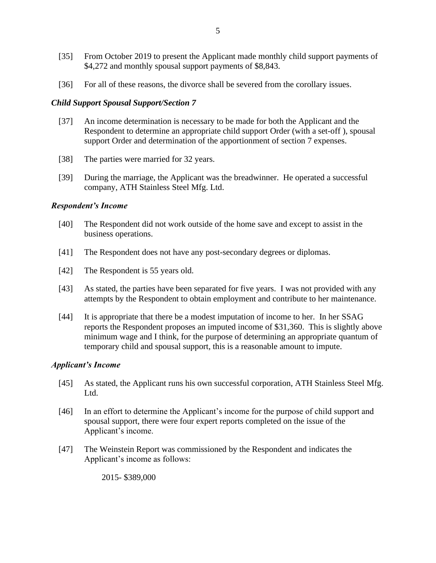- [35] From October 2019 to present the Applicant made monthly child support payments of \$4,272 and monthly spousal support payments of \$8,843.
- [36] For all of these reasons, the divorce shall be severed from the corollary issues.

### *Child Support Spousal Support/Section 7*

- [37] An income determination is necessary to be made for both the Applicant and the Respondent to determine an appropriate child support Order (with a set-off ), spousal support Order and determination of the apportionment of section 7 expenses.
- [38] The parties were married for 32 years.
- [39] During the marriage, the Applicant was the breadwinner. He operated a successful company, ATH Stainless Steel Mfg. Ltd.

### *Respondent's Income*

- [40] The Respondent did not work outside of the home save and except to assist in the business operations.
- [41] The Respondent does not have any post-secondary degrees or diplomas.
- [42] The Respondent is 55 years old.
- [43] As stated, the parties have been separated for five years. I was not provided with any attempts by the Respondent to obtain employment and contribute to her maintenance.
- [44] It is appropriate that there be a modest imputation of income to her. In her SSAG reports the Respondent proposes an imputed income of \$31,360. This is slightly above minimum wage and I think, for the purpose of determining an appropriate quantum of temporary child and spousal support, this is a reasonable amount to impute.

### *Applicant's Income*

- [45] As stated, the Applicant runs his own successful corporation, ATH Stainless Steel Mfg. Ltd.
- [46] In an effort to determine the Applicant's income for the purpose of child support and spousal support, there were four expert reports completed on the issue of the Applicant's income.
- [47] The Weinstein Report was commissioned by the Respondent and indicates the Applicant's income as follows:

2015- \$389,000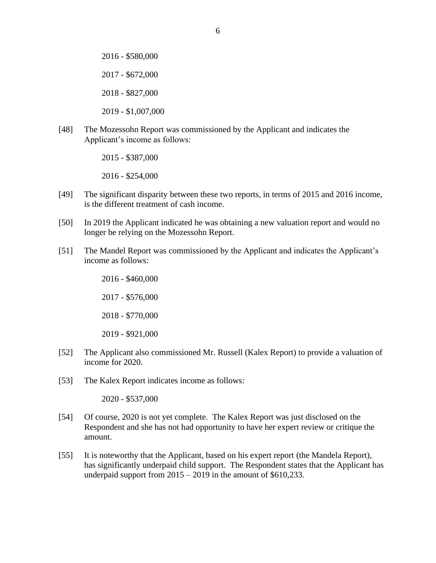2016 - \$580,000 2017 - \$672,000 2018 - \$827,000 2019 - \$1,007,000

[48] The Mozessohn Report was commissioned by the Applicant and indicates the Applicant's income as follows:

2015 - \$387,000

2016 - \$254,000

- [49] The significant disparity between these two reports, in terms of 2015 and 2016 income, is the different treatment of cash income.
- [50] In 2019 the Applicant indicated he was obtaining a new valuation report and would no longer be relying on the Mozessohn Report.
- [51] The Mandel Report was commissioned by the Applicant and indicates the Applicant's income as follows:

2016 - \$460,000 2017 - \$576,000 2018 - \$770,000 2019 - \$921,000

- [52] The Applicant also commissioned Mr. Russell (Kalex Report) to provide a valuation of income for 2020.
- [53] The Kalex Report indicates income as follows:

2020 - \$537,000

- [54] Of course, 2020 is not yet complete. The Kalex Report was just disclosed on the Respondent and she has not had opportunity to have her expert review or critique the amount.
- [55] It is noteworthy that the Applicant, based on his expert report (the Mandela Report), has significantly underpaid child support. The Respondent states that the Applicant has underpaid support from  $2015 - 2019$  in the amount of \$610,233.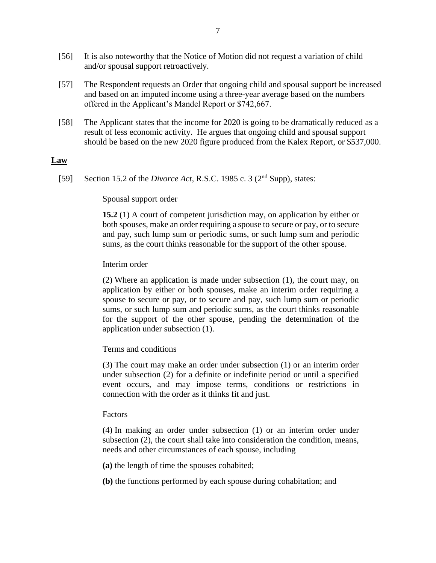- [56] It is also noteworthy that the Notice of Motion did not request a variation of child and/or spousal support retroactively.
- [57] The Respondent requests an Order that ongoing child and spousal support be increased and based on an imputed income using a three-year average based on the numbers offered in the Applicant's Mandel Report or \$742,667.
- [58] The Applicant states that the income for 2020 is going to be dramatically reduced as a result of less economic activity. He argues that ongoing child and spousal support should be based on the new 2020 figure produced from the Kalex Report, or \$537,000.

### **Law**

[59] Section 15.2 of the *Divorce Act*, R.S.C. 1985 c. 3 (2nd Supp), states:

### Spousal support order

**15.2** (1) A court of competent jurisdiction may, on application by either or both spouses, make an order requiring a spouse to secure or pay, or to secure and pay, such lump sum or periodic sums, or such lump sum and periodic sums, as the court thinks reasonable for the support of the other spouse.

#### Interim order

(2) Where an application is made under subsection (1), the court may, on application by either or both spouses, make an interim order requiring a spouse to secure or pay, or to secure and pay, such lump sum or periodic sums, or such lump sum and periodic sums, as the court thinks reasonable for the support of the other spouse, pending the determination of the application under subsection (1).

### Terms and conditions

(3) The court may make an order under subsection (1) or an interim order under subsection (2) for a definite or indefinite period or until a specified event occurs, and may impose terms, conditions or restrictions in connection with the order as it thinks fit and just.

#### Factors

(4) In making an order under subsection (1) or an interim order under subsection (2), the court shall take into consideration the condition, means, needs and other circumstances of each spouse, including

**(a)** the length of time the spouses cohabited;

**(b)** the functions performed by each spouse during cohabitation; and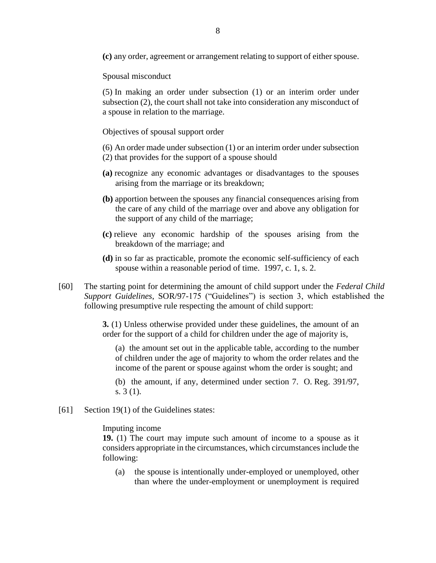**(c)** any order, agreement or arrangement relating to support of either spouse.

Spousal misconduct

(5) In making an order under subsection (1) or an interim order under subsection (2), the court shall not take into consideration any misconduct of a spouse in relation to the marriage.

Objectives of spousal support order

- (6) An order made under subsection (1) or an interim order under subsection
- (2) that provides for the support of a spouse should
- **(a)** recognize any economic advantages or disadvantages to the spouses arising from the marriage or its breakdown;
- **(b)** apportion between the spouses any financial consequences arising from the care of any child of the marriage over and above any obligation for the support of any child of the marriage;
- **(c)** relieve any economic hardship of the spouses arising from the breakdown of the marriage; and
- **(d)** in so far as practicable, promote the economic self-sufficiency of each spouse within a reasonable period of time. 1997, c. 1, s. 2.
- [60] The starting point for determining the amount of child support under the *Federal Child Support Guidelines*, SOR/97-175 ("Guidelines") is section 3, which established the following presumptive rule respecting the amount of child support:

**3.** (1) Unless otherwise provided under these guidelines, the amount of an order for the support of a child for children under the age of majority is,

(a) the amount set out in the applicable table, according to the number of children under the age of majority to whom the order relates and the income of the parent or spouse against whom the order is sought; and

(b) the amount, if any, determined under section 7. O. Reg. 391/97, s. 3 (1).

[61] Section 19(1) of the Guidelines states:

Imputing income

**19.** (1) The court may impute such amount of income to a spouse as it considers appropriate in the circumstances, which circumstances include the following:

(a) the spouse is intentionally under-employed or unemployed, other than where the under-employment or unemployment is required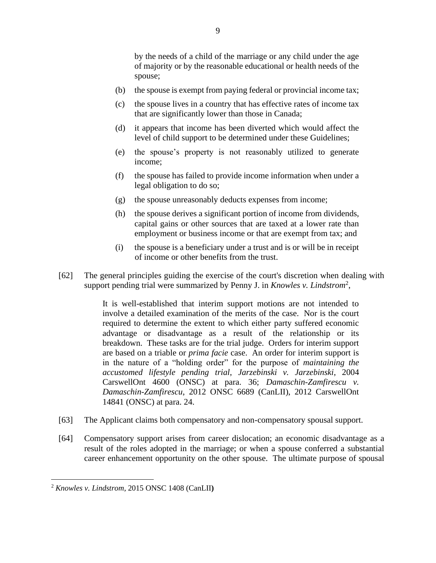by the needs of a child of the marriage or any child under the age of majority or by the reasonable educational or health needs of the spouse;

- (b) the spouse is exempt from paying federal or provincial income tax;
- (c) the spouse lives in a country that has effective rates of income tax that are significantly lower than those in Canada;
- (d) it appears that income has been diverted which would affect the level of child support to be determined under these Guidelines;
- (e) the spouse's property is not reasonably utilized to generate income;
- (f) the spouse has failed to provide income information when under a legal obligation to do so;
- (g) the spouse unreasonably deducts expenses from income;
- (h) the spouse derives a significant portion of income from dividends, capital gains or other sources that are taxed at a lower rate than employment or business income or that are exempt from tax; and
- (i) the spouse is a beneficiary under a trust and is or will be in receipt of income or other benefits from the trust.
- [62] The general principles guiding the exercise of the court's discretion when dealing with support pending trial were summarized by Penny J. in *Knowles v. Lindstrom*<sup>2</sup> ,

It is well-established that interim support motions are not intended to involve a detailed examination of the merits of the case. Nor is the court required to determine the extent to which either party suffered economic advantage or disadvantage as a result of the relationship or its breakdown. These tasks are for the trial judge. Orders for interim support are based on a triable or *prima facie* case. An order for interim support is in the nature of a "holding order" for the purpose of *maintaining the accustomed lifestyle pending trial*, *Jarzebinski v. Jarzebinski*, 2004 CarswellOnt 4600 (ONSC) at para. 36; *Damaschin-Zamfirescu v. Damaschin-Zamfirescu*, 2012 ONSC 6689 (CanLII), 2012 CarswellOnt 14841 (ONSC) at para. 24.

- [63] The Applicant claims both compensatory and non-compensatory spousal support.
- [64] Compensatory support arises from career dislocation; an economic disadvantage as a result of the roles adopted in the marriage; or when a spouse conferred a substantial career enhancement opportunity on the other spouse. The ultimate purpose of spousal

<sup>2</sup> *Knowles v. Lindstrom*, 2015 ONSC 1408 (CanLII**)**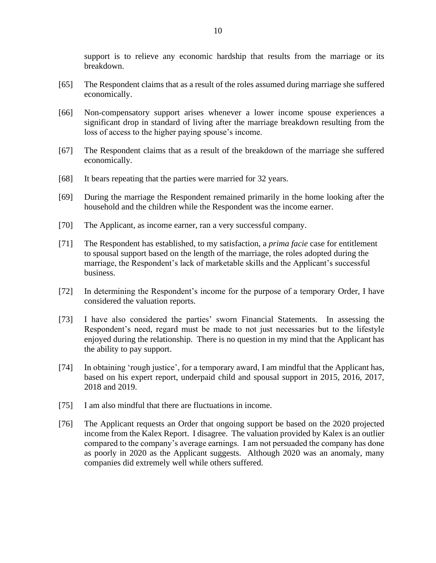support is to relieve any economic hardship that results from the marriage or its breakdown.

- [65] The Respondent claims that as a result of the roles assumed during marriage she suffered economically.
- [66] Non-compensatory support arises whenever a lower income spouse experiences a significant drop in standard of living after the marriage breakdown resulting from the loss of access to the higher paying spouse's income.
- [67] The Respondent claims that as a result of the breakdown of the marriage she suffered economically.
- [68] It bears repeating that the parties were married for 32 years.
- [69] During the marriage the Respondent remained primarily in the home looking after the household and the children while the Respondent was the income earner.
- [70] The Applicant, as income earner, ran a very successful company.
- [71] The Respondent has established, to my satisfaction, a *prima facie* case for entitlement to spousal support based on the length of the marriage, the roles adopted during the marriage, the Respondent's lack of marketable skills and the Applicant's successful business.
- [72] In determining the Respondent's income for the purpose of a temporary Order, I have considered the valuation reports.
- [73] I have also considered the parties' sworn Financial Statements. In assessing the Respondent's need, regard must be made to not just necessaries but to the lifestyle enjoyed during the relationship. There is no question in my mind that the Applicant has the ability to pay support.
- [74] In obtaining 'rough justice', for a temporary award, I am mindful that the Applicant has, based on his expert report, underpaid child and spousal support in 2015, 2016, 2017, 2018 and 2019.
- [75] I am also mindful that there are fluctuations in income.
- [76] The Applicant requests an Order that ongoing support be based on the 2020 projected income from the Kalex Report. I disagree. The valuation provided by Kalex is an outlier compared to the company's average earnings. I am not persuaded the company has done as poorly in 2020 as the Applicant suggests. Although 2020 was an anomaly, many companies did extremely well while others suffered.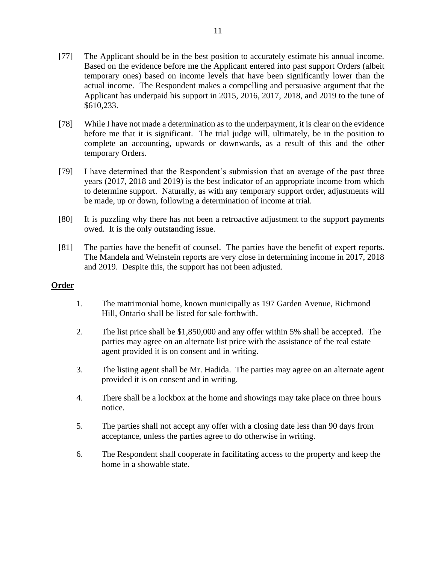- [77] The Applicant should be in the best position to accurately estimate his annual income. Based on the evidence before me the Applicant entered into past support Orders (albeit temporary ones) based on income levels that have been significantly lower than the actual income. The Respondent makes a compelling and persuasive argument that the Applicant has underpaid his support in 2015, 2016, 2017, 2018, and 2019 to the tune of \$610,233.
- [78] While I have not made a determination as to the underpayment, it is clear on the evidence before me that it is significant. The trial judge will, ultimately, be in the position to complete an accounting, upwards or downwards, as a result of this and the other temporary Orders.
- [79] I have determined that the Respondent's submission that an average of the past three years (2017, 2018 and 2019) is the best indicator of an appropriate income from which to determine support. Naturally, as with any temporary support order, adjustments will be made, up or down, following a determination of income at trial.
- [80] It is puzzling why there has not been a retroactive adjustment to the support payments owed. It is the only outstanding issue.
- [81] The parties have the benefit of counsel. The parties have the benefit of expert reports. The Mandela and Weinstein reports are very close in determining income in 2017, 2018 and 2019. Despite this, the support has not been adjusted.

## **Order**

- 1. The matrimonial home, known municipally as 197 Garden Avenue, Richmond Hill, Ontario shall be listed for sale forthwith.
- 2. The list price shall be \$1,850,000 and any offer within 5% shall be accepted. The parties may agree on an alternate list price with the assistance of the real estate agent provided it is on consent and in writing.
- 3. The listing agent shall be Mr. Hadida. The parties may agree on an alternate agent provided it is on consent and in writing.
- 4. There shall be a lockbox at the home and showings may take place on three hours notice.
- 5. The parties shall not accept any offer with a closing date less than 90 days from acceptance, unless the parties agree to do otherwise in writing.
- 6. The Respondent shall cooperate in facilitating access to the property and keep the home in a showable state.